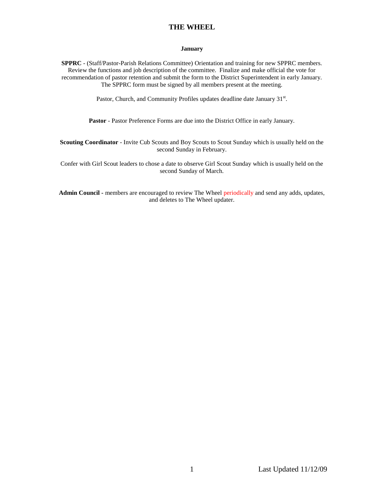### **January**

**SPPRC** - (Staff/Pastor-Parish Relations Committee) Orientation and training for new SPPRC members. Review the functions and job description of the committee. Finalize and make official the vote for recommendation of pastor retention and submit the form to the District Superintendent in early January. The SPPRC form must be signed by all members present at the meeting.

Pastor, Church, and Community Profiles updates deadline date January  $31<sup>st</sup>$ .

**Pastor** - Pastor Preference Forms are due into the District Office in early January.

**Scouting Coordinator** - Invite Cub Scouts and Boy Scouts to Scout Sunday which is usually held on the second Sunday in February.

Confer with Girl Scout leaders to chose a date to observe Girl Scout Sunday which is usually held on the second Sunday of March.

**Admin Council -** members are encouraged to review The Wheel periodically and send any adds, updates, and deletes to The Wheel updater.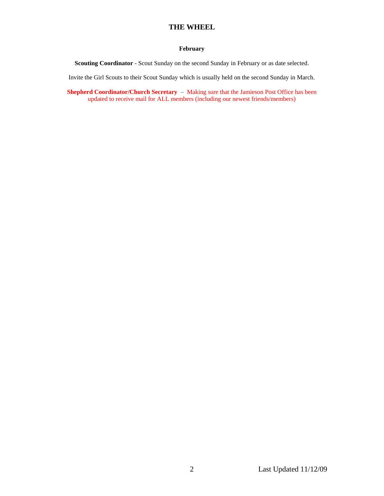## **February**

**Scouting Coordinator** - Scout Sunday on the second Sunday in February or as date selected.

Invite the Girl Scouts to their Scout Sunday which is usually held on the second Sunday in March.

**Shepherd Coordinator/Church Secretary** – Making sure that the Jamieson Post Office has been updated to receive mail for ALL members (including our newest friends/members)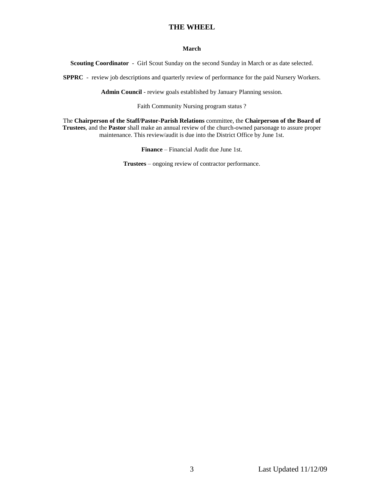## **March**

**Scouting Coordinator** - Girl Scout Sunday on the second Sunday in March or as date selected.

**SPPRC** - review job descriptions and quarterly review of performance for the paid Nursery Workers.

**Admin Council** - review goals established by January Planning session.

Faith Community Nursing program status ?

The **Chairperson of the Staff/Pastor-Parish Relations** committee, the **Chairperson of the Board of Trustees**, and the **Pastor** shall make an annual review of the church-owned parsonage to assure proper maintenance. This review/audit is due into the District Office by June 1st.

**Finance** – Financial Audit due June 1st.

**Trustees** – ongoing review of contractor performance.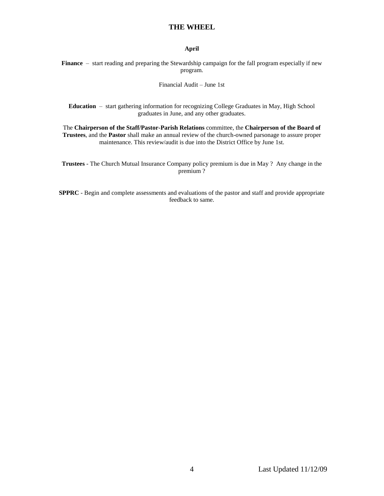## **April**

**Finance** – start reading and preparing the Stewardship campaign for the fall program especially if new program.

### Financial Audit – June 1st

**Education** – start gathering information for recognizing College Graduates in May, High School graduates in June, and any other graduates.

The **Chairperson of the Staff/Pastor-Parish Relations** committee, the **Chairperson of the Board of Trustees**, and the **Pastor** shall make an annual review of the church-owned parsonage to assure proper maintenance. This review/audit is due into the District Office by June 1st.

**Trustees** - The Church Mutual Insurance Company policy premium is due in May ? Any change in the premium ?

**SPPRC** - Begin and complete assessments and evaluations of the pastor and staff and provide appropriate feedback to same.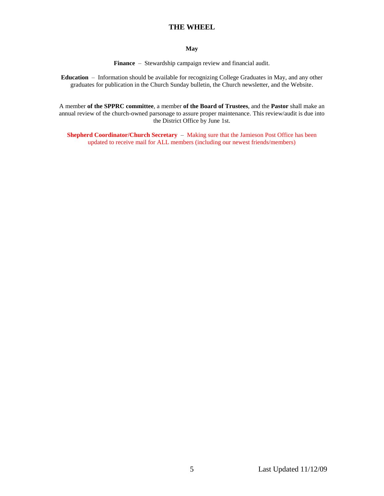### **May**

**Finance** – Stewardship campaign review and financial audit.

**Education** – Information should be available for recognizing College Graduates in May, and any other graduates for publication in the Church Sunday bulletin, the Church newsletter, and the Website.

A member **of the SPPRC committee**, a member **of the Board of Trustees**, and the **Pastor** shall make an annual review of the church-owned parsonage to assure proper maintenance. This review/audit is due into the District Office by June 1st.

**Shepherd Coordinator/Church Secretary** – Making sure that the Jamieson Post Office has been updated to receive mail for ALL members (including our newest friends/members)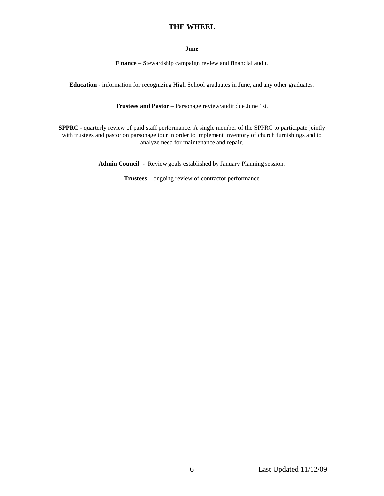### **June**

**Finance** – Stewardship campaign review and financial audit.

**Education** - information for recognizing High School graduates in June, and any other graduates.

**Trustees and Pastor** – Parsonage review/audit due June 1st.

**SPPRC** - quarterly review of paid staff performance. A single member of the SPPRC to participate jointly with trustees and pastor on parsonage tour in order to implement inventory of church furnishings and to analyze need for maintenance and repair.

**Admin Council** - Review goals established by January Planning session.

**Trustees** – ongoing review of contractor performance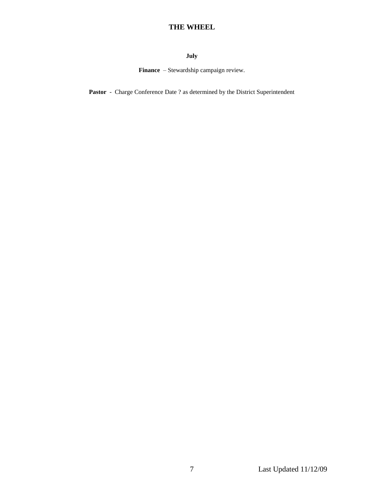# **July**

**Finance** – Stewardship campaign review.

Pastor - Charge Conference Date ? as determined by the District Superintendent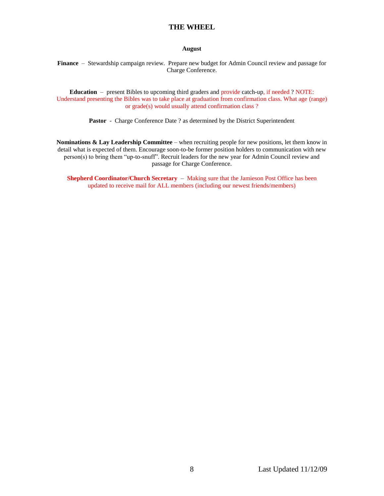### **August**

**Finance** – Stewardship campaign review. Prepare new budget for Admin Council review and passage for Charge Conference.

**Education** – present Bibles to upcoming third graders and provide catch-up, if needed ? NOTE: Understand presenting the Bibles was to take place at graduation from confirmation class. What age (range) or grade(s) would usually attend confirmation class ?

Pastor - Charge Conference Date ? as determined by the District Superintendent

**Nominations & Lay Leadership Committee** – when recruiting people for new positions, let them know in detail what is expected of them. Encourage soon-to-be former position holders to communication with new person(s) to bring them "up-to-snuff". Recruit leaders for the new year for Admin Council review and passage for Charge Conference.

**Shepherd Coordinator/Church Secretary** – Making sure that the Jamieson Post Office has been updated to receive mail for ALL members (including our newest friends/members)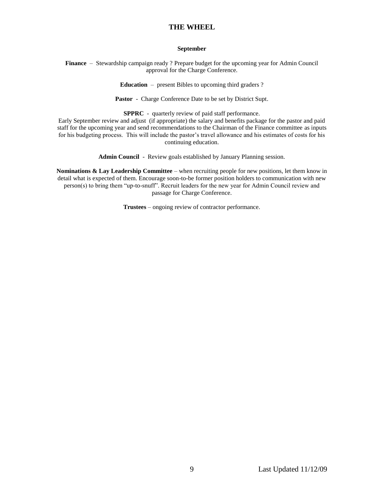### **September**

**Finance** – Stewardship campaign ready ? Prepare budget for the upcoming year for Admin Council approval for the Charge Conference.

**Education** – present Bibles to upcoming third graders ?

**Pastor** - Charge Conference Date to be set by District Supt.

**SPPRC** - quarterly review of paid staff performance.

Early September review and adjust (if appropriate) the salary and benefits package for the pastor and paid staff for the upcoming year and send recommendations to the Chairman of the Finance committee as inputs for his budgeting process. This will include the pastor's travel allowance and his estimates of costs for his continuing education.

**Admin Council** - Review goals established by January Planning session.

**Nominations & Lay Leadership Committee** – when recruiting people for new positions, let them know in detail what is expected of them. Encourage soon-to-be former position holders to communication with new person(s) to bring them "up-to-snuff". Recruit leaders for the new year for Admin Council review and passage for Charge Conference.

**Trustees** – ongoing review of contractor performance.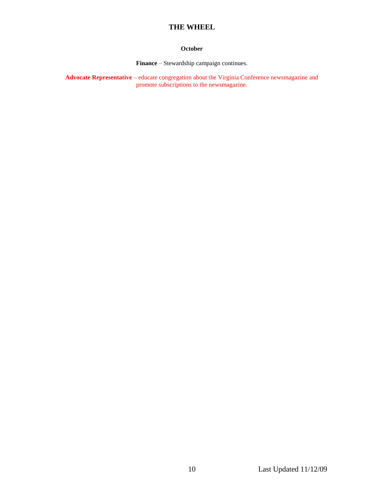## **October**

**Finance** – Stewardship campaign continues.

**Advocate Representative** – educate congregation about the Virginia Conference newsmagazine and promote subscriptions to the newsmagazine.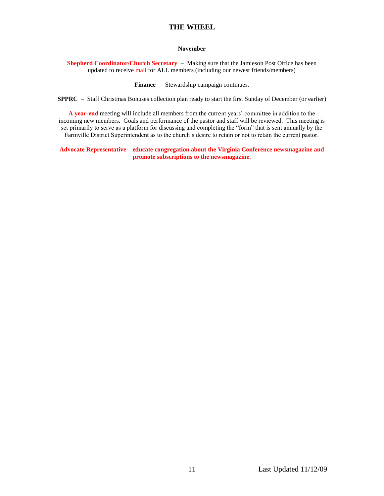## **November**

**Shepherd Coordinator/Church Secretary** – Making sure that the Jamieson Post Office has been updated to receive mail for ALL members (including our newest friends/members)

**Finance** – Stewardship campaign continues.

**SPPRC** – Staff Christmas Bonuses collection plan ready to start the first Sunday of December (or earlier)

**A year-end** meeting will include all members from the current years' committee in addition to the incoming new members. Goals and performance of the pastor and staff will be reviewed. This meeting is set primarily to serve as a platform for discussing and completing the "form" that is sent annually by the Farmville District Superintendent as to the church's desire to retain or not to retain the current pastor.

**Advocate Representative** – **educate congregation about the Virginia Conference newsmagazine and promote subscriptions to the newsmagazine**.